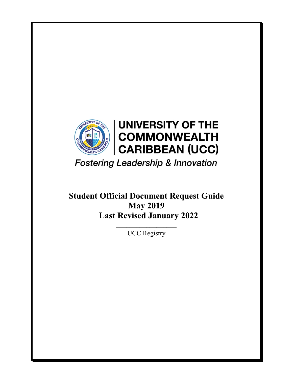

**Fostering Leadership & Innovation** 

**Student Official Document Request Guide May 2019 Last Revised January 2022**

> $\mathcal{L}_\text{max}$ UCC Registry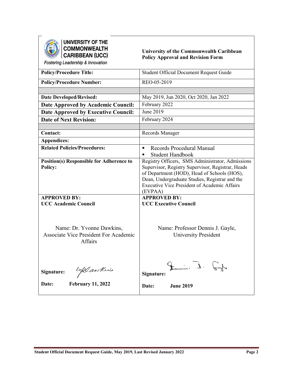

UNIVERSITY OF THE<br>COMMONWEALTH<br>CARIBBEAN (UCC)

### **University of the Commonwealth Caribbean Policy Approval and Revision Form**

Fostering Leadership & Innovation

| I USICINIY LCAUCISING & INNOVATION                                                                                  |                                                                                                                                                                                                                                                                          |
|---------------------------------------------------------------------------------------------------------------------|--------------------------------------------------------------------------------------------------------------------------------------------------------------------------------------------------------------------------------------------------------------------------|
| <b>Policy/Procedure Title:</b>                                                                                      | Student Official Document Request Guide                                                                                                                                                                                                                                  |
| <b>Policy/Procedure Number:</b>                                                                                     | REO-05-2019                                                                                                                                                                                                                                                              |
|                                                                                                                     |                                                                                                                                                                                                                                                                          |
| <b>Date Developed/Revised:</b>                                                                                      | May 2019, Jun 2020, Oct 2020, Jan 2022                                                                                                                                                                                                                                   |
| Date Approved by Academic Council:                                                                                  | February 2022                                                                                                                                                                                                                                                            |
| <b>Date Approved by Executive Council:</b>                                                                          | June 2019                                                                                                                                                                                                                                                                |
| <b>Date of Next Revision:</b>                                                                                       | February 2024                                                                                                                                                                                                                                                            |
|                                                                                                                     |                                                                                                                                                                                                                                                                          |
| <b>Contact:</b>                                                                                                     | Records Manager                                                                                                                                                                                                                                                          |
| <b>Appendices:</b>                                                                                                  |                                                                                                                                                                                                                                                                          |
| <b>Related Policies/Procedures:</b>                                                                                 | Records Procedural Manual<br>$\blacksquare$                                                                                                                                                                                                                              |
|                                                                                                                     | <b>Student Handbook</b><br>$\blacksquare$                                                                                                                                                                                                                                |
| <b>Position(s) Responsible for Adherence to</b><br><b>Policy:</b>                                                   | Registry Officers, SMS Administrator, Admissions<br>Supervisor, Registry Supervisor, Registrar, Heads<br>of Department (HOD), Head of Schools (HOS),<br>Dean, Undergraduate Studies, Registrar and the<br><b>Executive Vice President of Academic Affairs</b><br>(EVPAA) |
| <b>APPROVED BY:</b>                                                                                                 | <b>APPROVED BY:</b>                                                                                                                                                                                                                                                      |
| <b>UCC Academic Council</b><br>Name: Dr. Yvonne Dawkins,<br><b>Associate Vice President For Academic</b><br>Affairs | <b>UCC Executive Council</b><br>Name: Professor Dennis J. Gayle,<br><b>University President</b>                                                                                                                                                                          |
| Warkers<br>Signature:<br><b>February 11, 2022</b><br>Date:                                                          | $\frac{1}{2}$ . $\frac{1}{2}$<br>Signature:<br><b>June 2019</b><br>Date:                                                                                                                                                                                                 |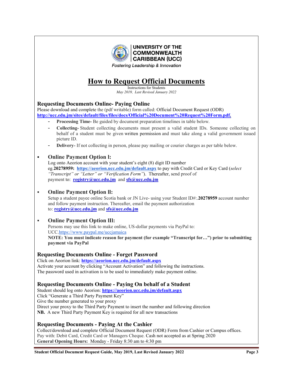

# **How to Request Official Documents**

Instructions for Students *May 2019, Last Revised January 2022*

## **Requesting Documents Online- Paying Online**

Please download and complete the (pdf writable) form called: Official Document Request (ODR) **[http://ucc.edu.jm/sites/default/files/files/docs/Official%20Document%20Request%20Form.pdf.](http://ucc.edu.jm/sites/default/files/files/docs/Official%20Document%20Request%20Form.pdf)**

- **Processing Time-** Be guided by document preparation timelines in table below.
- **Collecting-** Student collecting documents must present a valid student IDs. Someone collecting on behalf of a student must be given written permission and must take along a valid government issued picture ID.
- **Delivery-** If not collecting in person, please pay mailing or courier charges as per table below.

#### **Online Payment Option l:**

Log onto Aeorion account with your student's eight (8) digit ID number eg.**20278959: <https://aeorion.ucc.edu.jm/default.aspx>** to pay with Credit Card or Key Card (*select "Transcript" or "Letter" or "Verification Form"*). Thereafter, send proof of payment to: **[registry@ucc.edu.jm](mailto:registry@ucc.edu.jm)** and **[sfs@ucc.edu.jm](mailto:sfs@ucc.edu.jm)**

#### **Online Payment Option ll:**

Setup a student payee online Scotia bank or JN Live- using your Student ID#:.**20278959** account number and follow payment instruction. Thereafter, email the payment authorization to: **[registry@ucc.edu.jm](mailto:registry@ucc.edu.jm)** and **[sfs@ucc.edu.jm](mailto:sfs@ucc.edu.jm)**

#### **Online Payment Option lIl:**

Persons may use this link to make online, US-dollar payments via PayPal to: UCC[.https://www.paypal.me/uccjamaica](https://www.paypal.me/uccjamaica) **NOTE: You must indicate reason for payment (for example "Transcript for…") prior to submitting payment via PayPal**

## **Requesting Documents Online - Forget Password**

Click on Aeorion link: **<https://aeorion.ucc.edu.jm/default.aspx>** Activate your account by clicking "Account Activation" and following the instructions. The password used in activation is to be used to immediately make payment online.

#### **Requesting Documents Online - Paying On behalf of a Student**

Student should log onto Aeorion: **<https://aeorion.ucc.edu.jm/default.aspx>** Click "Generate a Third Party Payment Key" Give the number generated to your proxy Direct your proxy to the Third Party Payment to insert the number and following direction **NB.** A new Third Party Payment Key is required for all new transactions

#### **Requesting Documents - Paying At the Cashier**

Collect/download and complete Official Document Request (ODR) Form from Cashier or Campus offices. Pay with: Debit Card, Credit Card or Managers Cheque. Cash not accepted as at Spring 2020 **General Opening Hours:** Monday - Friday 8:30 am to 4:30 pm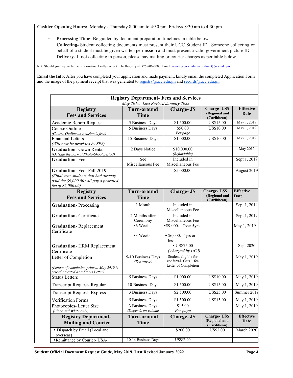**Cashier Opening Hours:** Monday - Thursday 8:00 am to 4:30 pm Fridays 8:30 am to 4:30 pm

- **Processing Time-** Be guided by document preparation timelines in table below.
- **Collecting-** Student collecting documents must present their UCC Student ID. Someone collecting on behalf of a student must be given written permission and must present a valid government picture ID.
- **Delivery-** If not collecting in person, please pay mailing or courier charges as per table below.

NB. Should you require further information, kindly contact: The Registry at: 876-906-3000; Email: [registry@ucc.edu.jm](mailto:registry@ucc.edu.jm) or [direct@ucc.edu.jm](mailto:direct@ucc.edu.jm)

**Email the Info:** After you have completed your application and made payment, kindly email the completed Application Form and the image of the payment receipt that was generated to [registry@ucc.edu.jm](mailto:registry@ucc.edu.jm) and [records@ucc.edu.jm.](mailto:records@ucc.edu.jm)

| <b>Registry Department- Fees and Services</b><br>May 2019, Last Revised January 2022                                                       |                                       |                                                                       |                                                    |                                 |
|--------------------------------------------------------------------------------------------------------------------------------------------|---------------------------------------|-----------------------------------------------------------------------|----------------------------------------------------|---------------------------------|
| <b>Registry</b><br><b>Fees and Services</b>                                                                                                | <b>Turn-around</b><br><b>Time</b>     | <b>Charge-JS</b>                                                      | <b>Charge-US\$</b><br>(Regional and<br>(Caribbean) | <b>Effective</b><br>Date        |
| Academic Report Request                                                                                                                    | 5 Business Days                       | \$1,500.00                                                            | US\$15.00                                          | May 1, 2019                     |
| Course Outline<br>(Course Outline on Aeorion is free)                                                                                      | 5 Business Days                       | \$50.00<br>Per page                                                   | US\$10.00                                          | May 1, 2019                     |
| <b>Financial Letters</b><br>(Will now be provided by SFS)                                                                                  | 15 Business Days                      | \$1,000.00                                                            | US\$10.00                                          | May 1, 2019                     |
| <b>Graduation-</b> Gown Rental<br>(Outside the normal Photo-Shoot period)                                                                  | 2 Days Notice                         | \$10,000.00<br>(Refundable)                                           |                                                    | <b>May 2012</b>                 |
| <b>Graduation-Fee</b>                                                                                                                      | See<br>Miscellaneous Fee              | Included in<br>Miscellaneous Fee                                      |                                                    | Sept 1, 2019                    |
| <b>Graduation-Fee-Fall 2019</b><br>(Final year students that had already)<br>paid the \$9,000.00 will pay a prorated<br>fee of \$5,000.00) |                                       | \$5,000.00                                                            |                                                    | August 2019                     |
| <b>Registry</b><br><b>Fees and Services</b>                                                                                                | <b>Turn-around</b><br><b>Time</b>     | <b>Charge-J\$</b>                                                     | <b>Charge-US\$</b><br>(Regional and<br>(Caribbean) | <b>Effective</b><br><b>Date</b> |
| <b>Graduation-Processing</b>                                                                                                               | 1 Month                               | Included in<br>Miscellaneous Fee                                      |                                                    | Sept.1, 2019                    |
| <b>Graduation-Certificate</b>                                                                                                              | 2 Months after<br>Ceremony            | Included in<br>Miscellaneous Fee                                      |                                                    | Sept.1, 2019                    |
| <b>Graduation-Replacement</b><br>Certificate                                                                                               | ■6 Weeks<br>$\blacksquare$ 3 Weeks    | $$9,000.$ - Over 5yrs<br>$$6,000. -5yrs$ or<br>less                   |                                                    | May 1, 2019                     |
| <b>Graduation-HRM Replacement</b><br>Certificate                                                                                           |                                       | <b>US\$75.00</b><br>(charged by UCJ)                                  |                                                    | Sept 2020                       |
| Letter of Completion<br>(Letters of completion prior to May 2019 is<br>priced / treated as a Status Letter)                                | 5-10 Business Days<br>(Tentative)     | Student eligible for<br>conferral- Gets 1 fee<br>Letter of Completion |                                                    | May 1, 2019                     |
| <b>Status Letters</b>                                                                                                                      | 5 Business Days                       | \$1,000.00                                                            | <b>US\$10.00</b>                                   | May 1, 2019                     |
| <b>Transcript Request- Regular</b>                                                                                                         | 10 Business Days                      | \$1,500.00                                                            | US\$15.00                                          | May 1, 2019                     |
| <b>Transcript Request- Express</b>                                                                                                         | 3 Business Days                       | \$2,500.00                                                            | US\$25.00                                          | Summer 2019                     |
| Verification Forms                                                                                                                         | 5 Business Days                       | \$1,500.00                                                            | US\$15.00                                          | May 1, 2019                     |
| Photocopies- Letter Size<br>(Black and White only)                                                                                         | 3 Business Days<br>(Depends on volume | \$15.00<br>Per page                                                   |                                                    | May 1, 2019                     |
| <b>Registry Department-</b><br><b>Mailing and Courier</b>                                                                                  | <b>Turn-around</b><br><b>Time</b>     | <b>Charge-J\$</b>                                                     | <b>Charge-US\$</b><br>(Regional and<br>(Caribbean) | <b>Effective</b><br>Date        |
| · Dispatch by Email (Local and<br>overseas)                                                                                                |                                       | \$200.00                                                              | <b>US\$2.00</b>                                    | March 2020                      |
| Remittance by Courier-USA-                                                                                                                 | 10-14 Business Days                   | US\$53.00                                                             |                                                    |                                 |